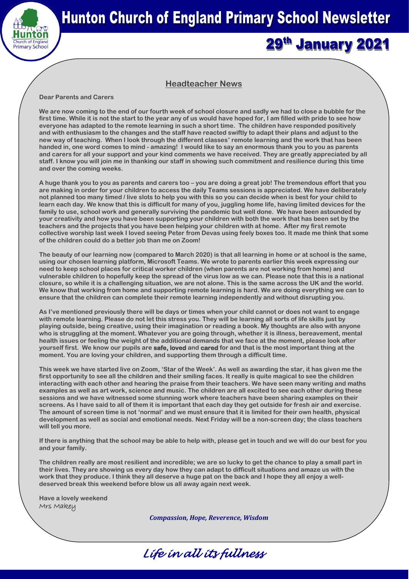

# **Hunton Church of England Primary School Newsletter**

## 29th January 2021

### **Headteacher News**

#### **Dear Parents and Carers**

**We are now coming to the end of our fourth week of school closure and sadly we had to close a bubble for the first time. While it is not the start to the year any of us would have hoped for, I am filled with pride to see how everyone has adapted to the remote learning in such a short time. The children have responded positively and with enthusiasm to the changes and the staff have reacted swiftly to adapt their plans and adjust to the new way of teaching. When I look through the different classes' remote learning and the work that has been handed in, one word comes to mind - amazing! I would like to say an enormous thank you to you as parents and carers for all your support and your kind comments we have received. They are greatly appreciated by all staff. I know you will join me in thanking our staff in showing such commitment and resilience during this time and over the coming weeks.**

**A huge thank you to you as parents and carers too – you are doing a great job! The tremendous effort that you are making in order for your children to access the daily Teams sessions is appreciated. We have deliberately not planned too many timed / live slots to help you with this so you can decide when is best for your child to learn each day. We know that this is difficult for many of you, juggling home life, having limited devices for the family to use, school work and generally surviving the pandemic but well done. We have been astounded by your creativity and how you have been supporting your children with both the work that has been set by the teachers and the projects that you have been helping your children with at home. After my first remote collective worship last week I loved seeing Peter from Devas using feely boxes too. It made me think that some of the children could do a better job than me on Zoom!**

**The beauty of our learning now (compared to March 2020) is that all learning in home or at school is the same, using our chosen learning platform, Microsoft Teams. We wrote to parents earlier this week expressing our need to keep school places for critical worker children (when parents are not working from home) and vulnerable children to hopefully keep the spread of the virus low as we can. Please note that this is a national closure, so while it is a challenging situation, we are not alone. This is the same across the UK and the world. We know that working from home and supporting remote learning is hard. We are doing everything we can to ensure that the children can complete their remote learning independently and without disrupting you.** 

**As I've mentioned previously there will be days or times when your child cannot or does not want to engage with remote learning. Please do not let this stress you. They will be learning all sorts of life skills just by playing outside, being creative, using their imagination or reading a book. My thoughts are also with anyone who is struggling at the moment. Whatever you are going through, whether it is illness, bereavement, mental health issues or feeling the weight of the additional demands that we face at the moment, please look after yourself first. We know our pupils are safe, loved and cared for and that is the most important thing at the moment. You are loving your children, and supporting them through a difficult time.** 

**This week we have started live on Zoom, 'Star of the Week'. As well as awarding the star, it has given me the first opportunity to see all the children and their smiling faces. It really is quite magical to see the children interacting with each other and hearing the praise from their teachers. We have seen many writing and maths examples as well as art work, science and music. The children are all excited to see each other during these sessions and we have witnessed some stunning work where teachers have been sharing examples on their screens. As I have said to all of them it is important that each day they get outside for fresh air and exercise. The amount of screen time is not 'normal' and we must ensure that it is limited for their own health, physical development as well as social and emotional needs. Next Friday will be a non-screen day; the class teachers will tell you more.**

**If there is anything that the school may be able to help with, please get in touch and we will do our best for you and your family.** 

**The children really are most resilient and incredible; we are so lucky to get the chance to play a small part in their lives. They are showing us every day how they can adapt to difficult situations and amaze us with the work that they produce. I think they all deserve a huge pat on the back and I hope they all enjoy a welldeserved break this weekend before blow us all away again next week.**

**Have a lovely weekend** Mrs Makey

*Compassion, Hope, Reverence, Wisdom*